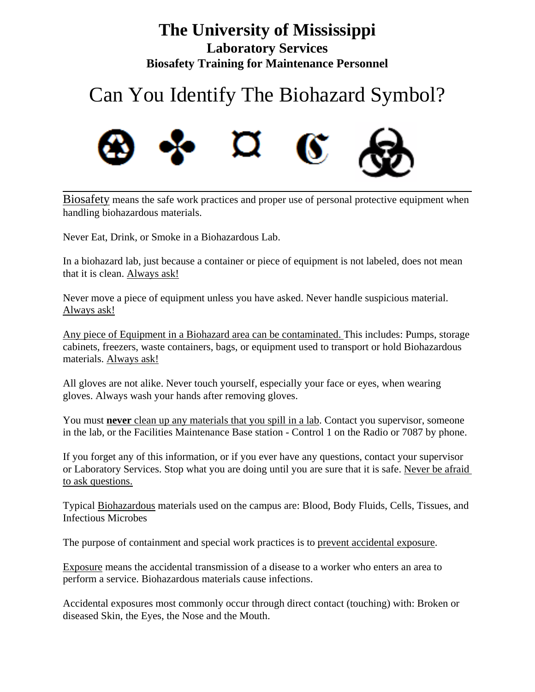## **The University of Mississippi Laboratory Services Biosafety Training for Maintenance Personnel**

## Can You Identify The Biohazard Symbol?



Biosafety means the safe work practices and proper use of personal protective equipment when handling biohazardous materials.

Never Eat, Drink, or Smoke in a Biohazardous Lab.

In a biohazard lab, just because a container or piece of equipment is not labeled, does not mean that it is clean. Always ask!

Never move a piece of equipment unless you have asked. Never handle suspicious material. Always ask!

Any piece of Equipment in a Biohazard area can be contaminated. This includes: Pumps, storage cabinets, freezers, waste containers, bags, or equipment used to transport or hold Biohazardous materials. Always ask!

All gloves are not alike. Never touch yourself, especially your face or eyes, when wearing gloves. Always wash your hands after removing gloves.

You must **never** clean up any materials that you spill in a lab. Contact you supervisor, someone in the lab, or the Facilities Maintenance Base station - Control 1 on the Radio or 7087 by phone.

If you forget any of this information, or if you ever have any questions, contact your supervisor or Laboratory Services. Stop what you are doing until you are sure that it is safe. Never be afraid to ask questions.

Typical Biohazardous materials used on the campus are: Blood, Body Fluids, Cells, Tissues, and Infectious Microbes

The purpose of containment and special work practices is to prevent accidental exposure.

Exposure means the accidental transmission of a disease to a worker who enters an area to perform a service. Biohazardous materials cause infections.

Accidental exposures most commonly occur through direct contact (touching) with: Broken or diseased Skin, the Eyes, the Nose and the Mouth.